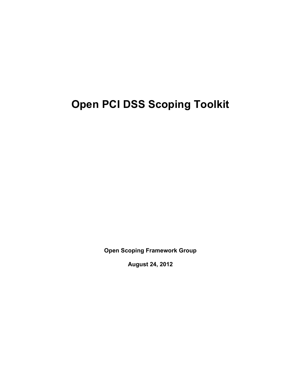# **Open PCI DSS Scoping Toolkit**

**Open Scoping Framework Group** 

**August 24, 2012**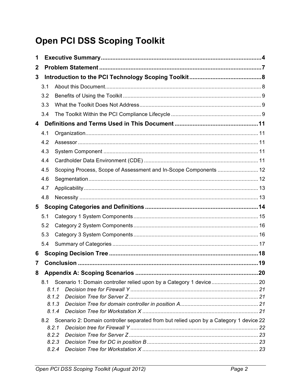# **Open PCI DSS Scoping Toolkit**

| 1            |     |                                                                                                 |    |
|--------------|-----|-------------------------------------------------------------------------------------------------|----|
| $\mathbf{2}$ |     |                                                                                                 |    |
| 3            |     |                                                                                                 |    |
|              | 3.1 |                                                                                                 |    |
|              | 3.2 |                                                                                                 |    |
|              | 3.3 |                                                                                                 |    |
|              | 3.4 |                                                                                                 |    |
| 4            |     |                                                                                                 |    |
|              | 4.1 |                                                                                                 |    |
|              | 4.2 |                                                                                                 |    |
|              | 4.3 |                                                                                                 |    |
|              | 4.4 |                                                                                                 |    |
|              | 4.5 | Scoping Process, Scope of Assessment and In-Scope Components  12                                |    |
|              | 4.6 |                                                                                                 |    |
|              | 4.7 |                                                                                                 |    |
|              | 4.8 |                                                                                                 |    |
| 5            |     |                                                                                                 |    |
|              | 5.1 |                                                                                                 |    |
|              | 5.2 |                                                                                                 |    |
|              | 5.3 |                                                                                                 |    |
|              | 5.4 |                                                                                                 |    |
| 6            |     |                                                                                                 |    |
| 7            |     |                                                                                                 |    |
| 8            |     | <b>Appendix A: Scoping Scenarios.</b>                                                           | 20 |
|              | 8.1 |                                                                                                 |    |
|              |     | 8.1.1                                                                                           |    |
|              |     | 8.1.2                                                                                           |    |
|              |     | 8.1.3                                                                                           |    |
|              |     | 8.1.4                                                                                           |    |
|              | 8.2 | Scenario 2: Domain controller separated from but relied upon by a Category 1 device 22<br>8.2.1 |    |
|              |     | 8.2.2                                                                                           |    |
|              |     | 8.2.3                                                                                           |    |
|              |     | 8.2.4                                                                                           |    |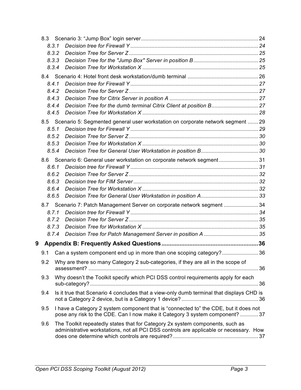|   | 8.3.1 |                                                                                                                                                                         |  |
|---|-------|-------------------------------------------------------------------------------------------------------------------------------------------------------------------------|--|
|   | 8.3.2 |                                                                                                                                                                         |  |
|   | 8.3.3 |                                                                                                                                                                         |  |
|   | 8.3.4 |                                                                                                                                                                         |  |
|   |       |                                                                                                                                                                         |  |
|   | 8.4.1 |                                                                                                                                                                         |  |
|   | 8.4.2 |                                                                                                                                                                         |  |
|   | 8.4.3 |                                                                                                                                                                         |  |
|   | 8.4.4 |                                                                                                                                                                         |  |
|   | 8.4.5 |                                                                                                                                                                         |  |
|   |       | 8.5 Scenario 5: Segmented general user workstation on corporate network segment  29                                                                                     |  |
|   | 8.5.1 |                                                                                                                                                                         |  |
|   | 8.5.2 |                                                                                                                                                                         |  |
|   | 8.5.3 |                                                                                                                                                                         |  |
|   | 8.5.4 |                                                                                                                                                                         |  |
|   |       | 8.6 Scenario 6: General user workstation on corporate network segment 31                                                                                                |  |
|   | 8.6.1 |                                                                                                                                                                         |  |
|   | 8.6.2 |                                                                                                                                                                         |  |
|   | 8.6.3 |                                                                                                                                                                         |  |
|   | 8.6.4 |                                                                                                                                                                         |  |
|   | 8.6.5 |                                                                                                                                                                         |  |
|   |       | 8.7 Scenario 7: Patch Management Server on corporate network segment  34                                                                                                |  |
|   | 8.7.1 |                                                                                                                                                                         |  |
|   | 8.7.2 |                                                                                                                                                                         |  |
|   | 8.7.3 |                                                                                                                                                                         |  |
|   | 8.7.4 |                                                                                                                                                                         |  |
| 9 |       |                                                                                                                                                                         |  |
|   | 9.1   | Can a system component end up in more than one scoping category? 36                                                                                                     |  |
|   | 9.2   | Why are there so many Category 2 sub-categories, if they are all in the scope of                                                                                        |  |
|   | 9.3   | Why doesn't the Toolkit specify which PCI DSS control requirements apply for each                                                                                       |  |
|   | 9.4   | Is it true that Scenario 4 concludes that a view-only dumb terminal that displays CHD is                                                                                |  |
|   | 9.5   | I have a Category 2 system component that is "connected to" the CDE, but it does not<br>pose any risk to the CDE. Can I now make it Category 3 system component?  37    |  |
|   | 9.6   | The Toolkit repeatedly states that for Category 2x system components, such as<br>administrative workstations, not all PCI DSS controls are applicable or necessary. How |  |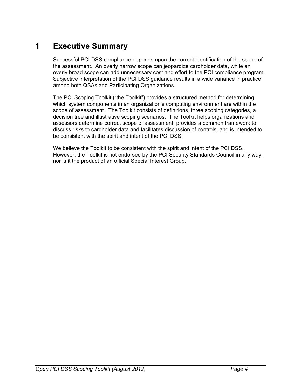# **1 Executive Summary**

Successful PCI DSS compliance depends upon the correct identification of the scope of the assessment. An overly narrow scope can jeopardize cardholder data, while an overly broad scope can add unnecessary cost and effort to the PCI compliance program. Subjective interpretation of the PCI DSS guidance results in a wide variance in practice among both QSAs and Participating Organizations.

The PCI Scoping Toolkit ("the Toolkit") provides a structured method for determining which system components in an organization's computing environment are within the scope of assessment. The Toolkit consists of definitions, three scoping categories, a decision tree and illustrative scoping scenarios. The Toolkit helps organizations and assessors determine correct scope of assessment, provides a common framework to discuss risks to cardholder data and facilitates discussion of controls, and is intended to be consistent with the spirit and intent of the PCI DSS.

We believe the Toolkit to be consistent with the spirit and intent of the PCI DSS. However, the Toolkit is not endorsed by the PCI Security Standards Council in any way, nor is it the product of an official Special Interest Group.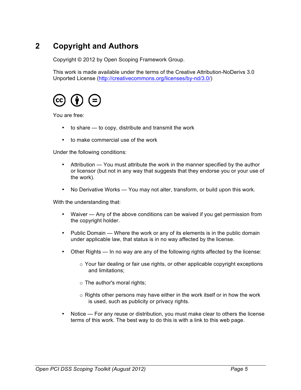# **2 Copyright and Authors**

Copyright © 2012 by Open Scoping Framework Group.

This work is made available under the terms of the Creative Attribution-NoDerivs 3.0 Unported License (http://creativecommons.org/licenses/by-nd/3.0/)



You are free:

- to share to copy, distribute and transmit the work
- to make commercial use of the work

Under the following conditions:

- Attribution You must attribute the work in the manner specified by the author or licensor (but not in any way that suggests that they endorse you or your use of the work).
- No Derivative Works You may not alter, transform, or build upon this work.

With the understanding that:

- Waiver Any of the above conditions can be waived if you get permission from the copyright holder.
- Public Domain Where the work or any of its elements is in the public domain under applicable law, that status is in no way affected by the license.
- Other Rights In no way are any of the following rights affected by the license:
	- $\circ$  Your fair dealing or fair use rights, or other applicable copyright exceptions and limitations;
	- o The author's moral rights;
	- o Rights other persons may have either in the work itself or in how the work is used, such as publicity or privacy rights.
- Notice For any reuse or distribution, you must make clear to others the license terms of this work. The best way to do this is with a link to this web page.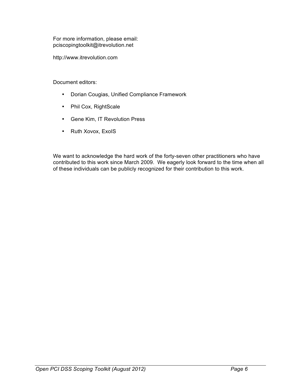For more information, please email: pciscopingtoolkit@itrevolution.net

http://www.itrevolution.com

Document editors:

- Dorian Cougias, Unified Compliance Framework
- Phil Cox, RightScale
- Gene Kim, IT Revolution Press
- Ruth Xovox, ExolS

We want to acknowledge the hard work of the forty-seven other practitioners who have contributed to this work since March 2009. We eagerly look forward to the time when all of these individuals can be publicly recognized for their contribution to this work.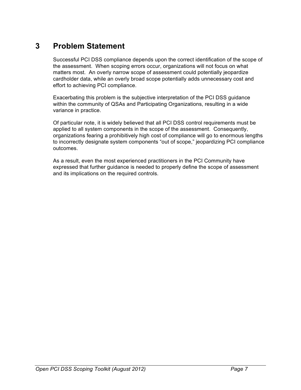# **3 Problem Statement**

Successful PCI DSS compliance depends upon the correct identification of the scope of the assessment. When scoping errors occur, organizations will not focus on what matters most. An overly narrow scope of assessment could potentially jeopardize cardholder data, while an overly broad scope potentially adds unnecessary cost and effort to achieving PCI compliance.

Exacerbating this problem is the subjective interpretation of the PCI DSS guidance within the community of QSAs and Participating Organizations, resulting in a wide variance in practice.

Of particular note, it is widely believed that all PCI DSS control requirements must be applied to all system components in the scope of the assessment. Consequently, organizations fearing a prohibitively high cost of compliance will go to enormous lengths to incorrectly designate system components "out of scope," jeopardizing PCI compliance outcomes.

As a result, even the most experienced practitioners in the PCI Community have expressed that further guidance is needed to properly define the scope of assessment and its implications on the required controls.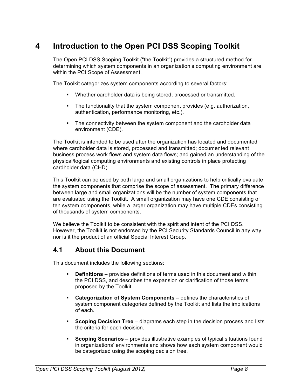# **4 Introduction to the Open PCI DSS Scoping Toolkit**

The Open PCI DSS Scoping Toolkit ("the Toolkit") provides a structured method for determining which system components in an organization's computing environment are within the PCI Scope of Assessment.

The Toolkit categorizes system components according to several factors:

- Whether cardholder data is being stored, processed or transmitted.
- The functionality that the system component provides (e.g. authorization, authentication, performance monitoring, etc.).
- § The connectivity between the system component and the cardholder data environment (CDE).

The Toolkit is intended to be used after the organization has located and documented where cardholder data is stored, processed and transmitted; documented relevant business process work flows and system data flows; and gained an understanding of the physical/logical computing environments and existing controls in place protecting cardholder data (CHD).

This Toolkit can be used by both large and small organizations to help critically evaluate the system components that comprise the scope of assessment. The primary difference between large and small organizations will be the number of system components that are evaluated using the Toolkit. A small organization may have one CDE consisting of ten system components, while a larger organization may have multiple CDEs consisting of thousands of system components.

We believe the Toolkit to be consistent with the spirit and intent of the PCI DSS. However, the Toolkit is not endorsed by the PCI Security Standards Council in any way, nor is it the product of an official Special Interest Group.

### **4.1 About this Document**

This document includes the following sections:

- **Definitions** provides definitions of terms used in this document and within the PCI DSS, and describes the expansion or clarification of those terms proposed by the Toolkit.
- § **Categorization of System Components** defines the characteristics of system component categories defined by the Toolkit and lists the implications of each.
- § **Scoping Decision Tree** diagrams each step in the decision process and lists the criteria for each decision.
- § **Scoping Scenarios** provides illustrative examples of typical situations found in organizations' environments and shows how each system component would be categorized using the scoping decision tree.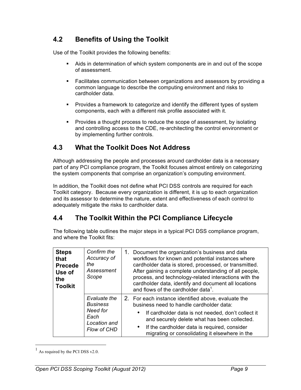### **4.2 Benefits of Using the Toolkit**

Use of the Toolkit provides the following benefits:

- § Aids in determination of which system components are in and out of the scope of assessment.
- § Facilitates communication between organizations and assessors by providing a common language to describe the computing environment and risks to cardholder data.
- § Provides a framework to categorize and identify the different types of system components, each with a different risk profile associated with it.
- Provides a thought process to reduce the scope of assessment, by isolating and controlling access to the CDE, re-architecting the control environment or by implementing further controls.

### **4.3 What the Toolkit Does Not Address**

Although addressing the people and processes around cardholder data is a necessary part of any PCI compliance program, the Toolkit focuses almost entirely on categorizing the system components that comprise an organization's computing environment.

In addition, the Toolkit does not define what PCI DSS controls are required for each Toolkit category. Because every organization is different, it is up to each organization and its assessor to determine the nature, extent and effectiveness of each control to adequately mitigate the risks to cardholder data.

### **4.4 The Toolkit Within the PCI Compliance Lifecycle**

The following table outlines the major steps in a typical PCI DSS compliance program, and where the Toolkit fits:

| <b>Steps</b><br>that<br><b>Precede</b><br>Use of<br>the<br><b>Toolkit</b> | Confirm the<br>Accuracy of<br>the<br>Assessment<br>Scope                           | 1. Document the organization's business and data<br>workflows for known and potential instances where<br>cardholder data is stored, processed, or transmitted.<br>After gaining a complete understanding of all people,<br>process, and technology-related interactions with the<br>cardholder data, identify and document all locations<br>and flows of the cardholder data <sup>1</sup> . |
|---------------------------------------------------------------------------|------------------------------------------------------------------------------------|---------------------------------------------------------------------------------------------------------------------------------------------------------------------------------------------------------------------------------------------------------------------------------------------------------------------------------------------------------------------------------------------|
|                                                                           | Evaluate the<br><b>Business</b><br>Need for<br>Each<br>Location and<br>Flow of CHD | 2. For each instance identified above, evaluate the<br>business need to handle cardholder data:<br>If cardholder data is not needed, don't collect it<br>and securely delete what has been collected.<br>If the cardholder data is required, consider<br>$\bullet$<br>migrating or consolidating it elsewhere in the                                                                        |

 $<sup>1</sup>$  As required by the PCI DSS v2.0.</sup>

 $\overline{a}$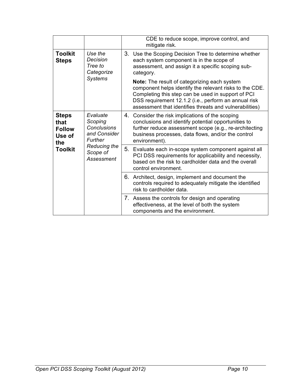|                                                        |                                                                                                                       | CDE to reduce scope, improve control, and<br>mitigate risk.                                                                                                                                                                                                                             |
|--------------------------------------------------------|-----------------------------------------------------------------------------------------------------------------------|-----------------------------------------------------------------------------------------------------------------------------------------------------------------------------------------------------------------------------------------------------------------------------------------|
| <b>Toolkit</b><br><b>Steps</b>                         | Use the<br>Decision<br>Tree to<br>Categorize                                                                          | 3. Use the Scoping Decision Tree to determine whether<br>each system component is in the scope of<br>assessment, and assign it a specific scoping sub-<br>category.                                                                                                                     |
|                                                        | <b>Systems</b>                                                                                                        | <b>Note:</b> The result of categorizing each system<br>component helps identify the relevant risks to the CDE.<br>Completing this step can be used in support of PCI<br>DSS requirement 12.1.2 (i.e., perform an annual risk<br>assessment that identifies threats and vulnerabilities) |
| <b>Steps</b><br>that<br><b>Follow</b><br>Use of<br>the | Evaluate<br>Scoping<br><b>Conclusions</b><br>and Consider<br>Further<br><b>Reducing the</b><br>Scope of<br>Assessment | 4. Consider the risk implications of the scoping<br>conclusions and identify potential opportunities to<br>further reduce assessment scope (e.g., re-architecting<br>business processes, data flows, and/or the control<br>environment).                                                |
| <b>Toolkit</b>                                         |                                                                                                                       | 5. Evaluate each in-scope system component against all<br>PCI DSS requirements for applicability and necessity,<br>based on the risk to cardholder data and the overall<br>control environment.                                                                                         |
|                                                        |                                                                                                                       | 6. Architect, design, implement and document the<br>controls required to adequately mitigate the identified<br>risk to cardholder data.                                                                                                                                                 |
|                                                        |                                                                                                                       |                                                                                                                                                                                                                                                                                         |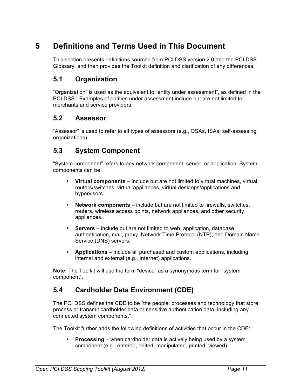# **5 Definitions and Terms Used in This Document**

This section presents definitions sourced from PCI DSS version 2.0 and the PCI DSS Glossary, and then provides the Toolkit definition and clarification of any differences.

### **5.1 Organization**

"Organization" is used as the equivalent to "entity under assessment", as defined in the PCI DSS. Examples of entities under assessment include but are not limited to merchants and service providers.

### **5.2 Assessor**

"Assessor" is used to refer to all types of assessors (e.g., QSAs, ISAs, self-assessing organizations).

### **5.3 System Component**

"System component" refers to any network component, server, or application. System components can be:

- § **Virtual components** include but are not limited to virtual machines, virtual routers/switches, virtual appliances, virtual desktops/applications and hypervisors.
- § **Network components** include but are not limited to firewalls, switches, routers, wireless access points, network appliances, and other security appliances.
- § **Servers** include but are not limited to web, application, database, authentication, mail, proxy, Network Time Protocol (NTP), and Domain Name Service (DNS) servers.
- § **Applications** include all purchased and custom applications, including internal and external (e.g., Internet) applications.

**Note:** The Toolkit will use the term "device" as a synonymous term for "system component".

### **5.4 Cardholder Data Environment (CDE)**

The PCI DSS defines the CDE to be "the people, processes and technology that store, process or transmit cardholder data or sensitive authentication data, including any connected system components."

The Toolkit further adds the following definitions of activities that occur in the CDE:

**Processing** – when cardholder data is actively being used by a system component (e.g., entered, edited, manipulated, printed, viewed)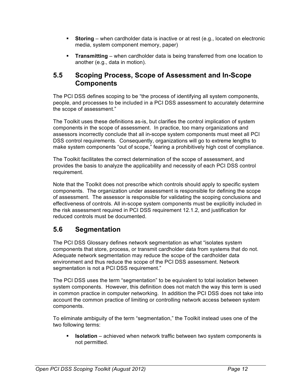- **Storing** when cardholder data is inactive or at rest (e.g., located on electronic media, system component memory, paper)
- § **Transmitting** when cardholder data is being transferred from one location to another (e.g., data in motion).

### **5.5 Scoping Process, Scope of Assessment and In-Scope Components**

The PCI DSS defines scoping to be "the process of identifying all system components, people, and processes to be included in a PCI DSS assessment to accurately determine the scope of assessment."

The Toolkit uses these definitions as-is, but clarifies the control implication of system components in the scope of assessment. In practice, too many organizations and assessors incorrectly conclude that all in-scope system components must meet all PCI DSS control requirements. Consequently, organizations will go to extreme lengths to make system components "out of scope," fearing a prohibitively high cost of compliance.

The Toolkit facilitates the correct determination of the scope of assessment, and provides the basis to analyze the applicability and necessity of each PCI DSS control requirement.

Note that the Toolkit does not prescribe which controls should apply to specific system components. The organization under assessment is responsible for defining the scope of assessment. The assessor is responsible for validating the scoping conclusions and effectiveness of controls. All in-scope system components must be explicitly included in the risk assessment required in PCI DSS requirement 12.1.2, and justification for reduced controls must be documented.

### **5.6 Segmentation**

The PCI DSS Glossary defines network segmentation as what "isolates system components that store, process, or transmit cardholder data from systems that do not. Adequate network segmentation may reduce the scope of the cardholder data environment and thus reduce the scope of the PCI DSS assessment. Network segmentation is not a PCI DSS requirement."

The PCI DSS uses the term "segmentation" to be equivalent to total isolation between system components. However, this definition does not match the way this term is used in common practice in computer networking. In addition the PCI DSS does not take into account the common practice of limiting or controlling network access between system components.

To eliminate ambiguity of the term "segmentation," the Toolkit instead uses one of the two following terms:

**Isolation** – achieved when network traffic between two system components is not permitted.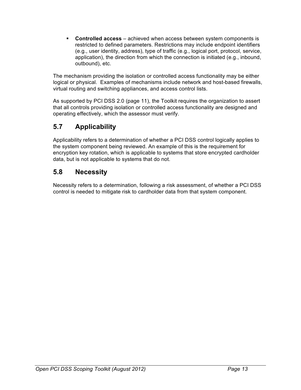§ **Controlled access** – achieved when access between system components is restricted to defined parameters. Restrictions may include endpoint identifiers (e.g., user identity, address), type of traffic (e.g., logical port, protocol, service, application), the direction from which the connection is initiated (e.g., inbound, outbound), etc.

The mechanism providing the isolation or controlled access functionality may be either logical or physical. Examples of mechanisms include network and host-based firewalls, virtual routing and switching appliances, and access control lists.

As supported by PCI DSS 2.0 (page 11), the Toolkit requires the organization to assert that all controls providing isolation or controlled access functionality are designed and operating effectively, which the assessor must verify.

## **5.7 Applicability**

Applicability refers to a determination of whether a PCI DSS control logically applies to the system component being reviewed. An example of this is the requirement for encryption key rotation, which is applicable to systems that store encrypted cardholder data, but is not applicable to systems that do not.

### **5.8 Necessity**

Necessity refers to a determination, following a risk assessment, of whether a PCI DSS control is needed to mitigate risk to cardholder data from that system component.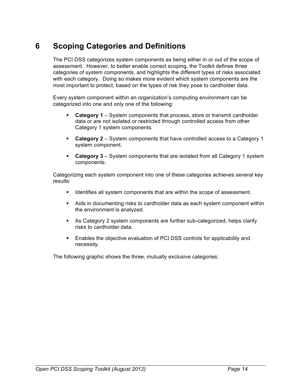# **6 Scoping Categories and Definitions**

The PCI DSS categorizes system components as being either in or out of the scope of assessment. However, to better enable correct scoping, the Toolkit defines three categories of system components, and highlights the different types of risks associated with each category. Doing so makes more evident which system components are the most important to protect, based on the types of risk they pose to cardholder data.

Every system component within an organization's computing environment can be categorized into one and only one of the following:

- § **Category 1** System components that process, store or transmit cardholder data or are not isolated or restricted through controlled access from other Category 1 system components.
- § **Category 2** System components that have controlled access to a Category 1 system component.
- § **Category 3** System components that are isolated from all Category 1 system components.

Categorizing each system component into one of these categories achieves several key results:

- § Identifies all system components that are within the scope of assessment.
- Aids in documenting risks to cardholder data as each system component within the environment is analyzed.
- § As Category 2 system components are further sub-categorized, helps clarify risks to cardholder data.
- Enables the objective evaluation of PCI DSS controls for applicability and necessity.

The following graphic shows the three, mutually exclusive categories: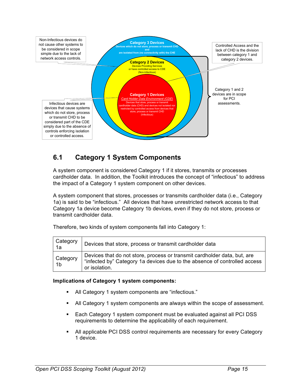

### **6.1 Category 1 System Components**

A system component is considered Category 1 if it stores, transmits or processes cardholder data. In addition, the Toolkit introduces the concept of "infectious" to address the impact of a Category 1 system component on other devices.

A system component that stores, processes or transmits cardholder data (i.e., Category 1a) is said to be "infectious." All devices that have unrestricted network access to that Category 1a device become Category 1b devices, even if they do not store, process or transmit cardholder data.

Therefore, two kinds of system components fall into Category 1:

| Category<br>1a | Devices that store, process or transmit cardholder data                                                                                                                |
|----------------|------------------------------------------------------------------------------------------------------------------------------------------------------------------------|
| Category<br>1b | Devices that do not store, process or transmit cardholder data, but, are<br>"infected by" Category 1a devices due to the absence of controlled access<br>or isolation. |

#### **Implications of Category 1 system components:**

- All Category 1 system components are "infectious."
- All Category 1 system components are always within the scope of assessment.
- Each Category 1 system component must be evaluated against all PCI DSS requirements to determine the applicability of each requirement.
- § All applicable PCI DSS control requirements are necessary for every Category 1 device.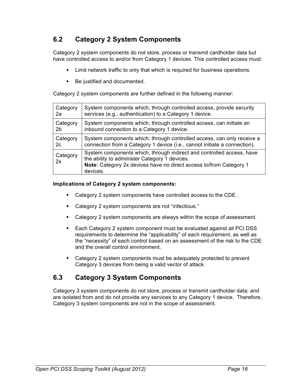### **6.2 Category 2 System Components**

Category 2 system components do not store, process or transmit cardholder data but have controlled access to and/or from Category 1 devices. This controlled access must:

- Limit network traffic to only that which is required for business operations.
- Be justified and documented.

Category 2 system components are further defined in the following manner:

| Category       | System components which, through controlled access, provide security                                                                                                                                     |
|----------------|----------------------------------------------------------------------------------------------------------------------------------------------------------------------------------------------------------|
| 2a             | services (e.g., authentication) to a Category 1 device.                                                                                                                                                  |
| Category       | System components which, through controlled access, can initiate an                                                                                                                                      |
| 2 <sub>b</sub> | inbound connection to a Category 1 device.                                                                                                                                                               |
| Category       | System components which, through controlled access, can only receive a                                                                                                                                   |
| 2c             | connection from a Category 1 device (i.e., cannot initiate a connection).                                                                                                                                |
| Category<br>2x | System components which, through indirect and controlled access, have<br>the ability to administer Category 1 devices.<br>Note: Category 2x devices have no direct access to/from Category 1<br>devices. |

#### **Implications of Category 2 system components:**

- Category 2 system components have controlled access to the CDE.
- Category 2 system components are not "infectious."
- § Category 2 system components are always within the scope of assessment.
- Each Category 2 system component must be evaluated against all PCI DSS requirements to determine the "applicability" of each requirement, as well as the "necessity" of each control based on an assessment of the risk to the CDE and the overall control environment.
- Category 2 system components must be adequately protected to prevent Category 3 devices from being a valid vector of attack.

### **6.3 Category 3 System Components**

Category 3 system components do not store, process or transmit cardholder data; and are isolated from and do not provide any services to any Category 1 device. Therefore, Category 3 system components are not in the scope of assessment.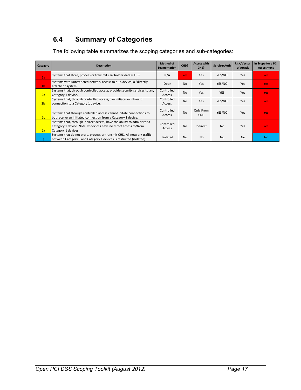# **6.4 Summary of Categories**

The following table summarizes the scoping categories and sub-categories:

| Category       | <b>Description</b>                                                                                                                                                 | <b>Method of</b><br>Segmentation | CHD?           | <b>Access with</b><br>CHE? | Service/Auth   | <b>Risk/Vector</b><br>of Attack | In Scope for a PCI<br><b>Assessment</b> |
|----------------|--------------------------------------------------------------------------------------------------------------------------------------------------------------------|----------------------------------|----------------|----------------------------|----------------|---------------------------------|-----------------------------------------|
| 1a             | Systems that store, process or transmit cardholder data (CHD).                                                                                                     | N/A                              | Yes            | Yes                        | YES/NO         | Yes                             | <b>Yes</b>                              |
| 1 <sub>b</sub> | Systems with unrestricted network access to a 1a device; a "directly<br>attached" system.                                                                          | Open                             | N <sub>0</sub> | Yes                        | YES/NO         | Yes                             | <b>Yes</b>                              |
| 2a             | Systems that, through controlled access, provide security services to any<br>Category 1 device.                                                                    | Controlled<br>Access             | N <sub>0</sub> | Yes                        | <b>YES</b>     | Yes                             | <b>Yes</b>                              |
| 2 <sub>b</sub> | Systems that, through controlled access, can initiate an inbound<br>connection to a Category 1 device.                                                             | Controlled<br>Access             | N <sub>0</sub> | Yes                        | YES/NO         | Yes                             | <b>Yes</b>                              |
| 2c             | Systems that through controlled access cannot initate connections to,<br>but receive an initiated connection from a Category 1 device.                             | Controlled<br>Access             | <b>No</b>      | Only From<br><b>CDE</b>    | YES/NO         | Yes                             | <b>Yes</b>                              |
| 2x             | Systems that, through indirect access, have the ability to administer a<br>Category 1 device. Note 2x devices have no direct access to/from<br>Category 1 devices. | Controlled<br>Access             | N <sub>0</sub> | Indirect                   | N <sub>0</sub> | Yes                             | <b>Yes</b>                              |
| 3              | Systems that do not store, process or transmit CHD. All network traffic<br>between Category 3 and Category 1 devices is restricted (isolated).                     | Isolated                         | N <sub>0</sub> | N <sub>0</sub>             | N <sub>0</sub> | <b>No</b>                       | <b>No</b>                               |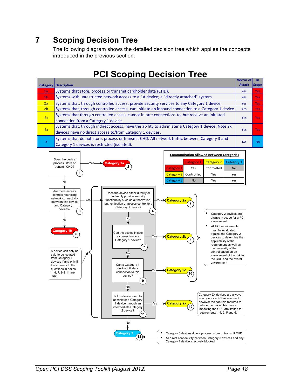# **7 Scoping Decision Tree**

The following diagram shows the detailed decision tree which applies the concepts introduced in the previous section.

# **PCI Scoping Decision Tree**

|                | <b>Category Description</b>                                                                                                                                     | <b>Vector of</b><br><b>Attack</b> | <b>Scope</b> |
|----------------|-----------------------------------------------------------------------------------------------------------------------------------------------------------------|-----------------------------------|--------------|
| 1a             | Systems that store, process or transmit cardholder data (CHD).                                                                                                  | <b>Yes</b>                        | <b>Yes</b>   |
| 1 <sub>b</sub> | Systems with unrestricted network access to a 1A device; a "directly attached" system.                                                                          | <b>Yes</b>                        | <b>Yes</b>   |
| 2a             | Systems that, through controlled access, provide security services to any Category 1 device.                                                                    | <b>Yes</b>                        | <b>Yes</b>   |
| 2 <sub>b</sub> | Systems that, through controlled access, can initiate an inbound connection to a Category 1 device.                                                             | <b>Yes</b>                        | <b>Yes</b>   |
| 2c             | Systems that through controlled access cannot initate connections to, but receive an initiated<br>connection from a Category 1 device.                          | Yes                               | <b>Yes</b>   |
| 2x             | Systems that, through indirect access, have the ability to administer a Category 1 device. Note 2x<br>devices have no direct access to/from Category 1 devices. | Yes                               | <b>Yes</b>   |
|                | Systems that do not store, process or transmit CHD. All network traffic between Category 3 and<br>Category 1 devices is restricted (isolated).                  | <b>No</b>                         | <b>No</b>    |

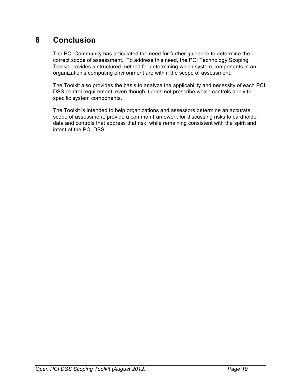# **8 Conclusion**

The PCI Community has articulated the need for further guidance to determine the correct scope of assessment. To address this need, the PCI Technology Scoping Toolkit provides a structured method for determining which system components in an organization's computing environment are within the scope of assessment.

The Toolkit also provides the basis to analyze the applicability and necessity of each PCI DSS control requirement, even though it does not prescribe which controls apply to specific system components.

The Toolkit is intended to help organizations and assessors determine an accurate scope of assessment, provide a common framework for discussing risks to cardholder data and controls that address that risk, while remaining consistent with the spirit and intent of the PCI DSS.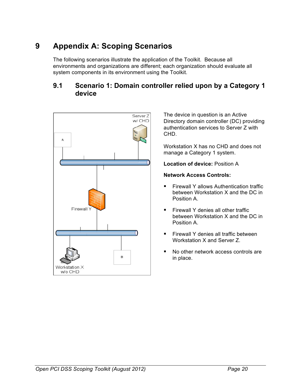# **9 Appendix A: Scoping Scenarios**

The following scenarios illustrate the application of the Toolkit. Because all environments and organizations are different; each organization should evaluate all system components in its environment using the Toolkit.

### **9.1 Scenario 1: Domain controller relied upon by a Category 1 device**



The device in question is an Active Directory domain controller (DC) providing authentication services to Server Z with CHD.

Workstation X has no CHD and does not manage a Category 1 system.

**Location of device:** Position A

#### **Network Access Controls:**

- § Firewall Y allows Authentication traffic between Workstation X and the DC in Position A.
- Firewall Y denies all other traffic between Workstation X and the DC in Position A.
- Firewall Y denies all traffic between Workstation X and Server Z.
- No other network access controls are in place.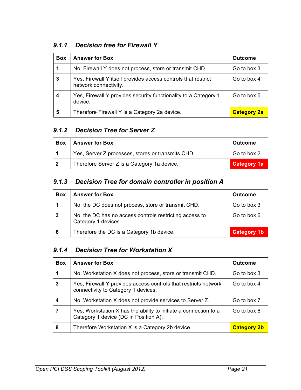### *9.1.1 Decision tree for Firewall Y*

| <b>Box</b> | <b>Answer for Box</b>                                                                  | <b>Outcome</b>     |
|------------|----------------------------------------------------------------------------------------|--------------------|
| 1          | No, Firewall Y does not process, store or transmit CHD.                                | Go to box 3        |
| 3          | Yes, Firewall Y itself provides access controls that restrict<br>network connectivity. | Go to box 4        |
| 4          | Yes, Firewall Y provides security functionality to a Category 1<br>device.             | Go to box 5        |
| 5          | Therefore Firewall Y is a Category 2a device.                                          | <b>Category 2a</b> |

### *9.1.2 Decision Tree for Server Z*

| <b>Box</b> | <b>Answer for Box</b>                             | <b>Outcome</b>     |
|------------|---------------------------------------------------|--------------------|
|            | Yes, Server Z processes, stores or transmits CHD. | Go to box 2        |
| l 2        | Therefore Server Z is a Category 1a device.       | <b>Category 1a</b> |

### *9.1.3 Decision Tree for domain controller in position A*

| <b>Box</b> | <b>Answer for Box</b>                                                          | <b>Outcome</b>     |
|------------|--------------------------------------------------------------------------------|--------------------|
|            | No, the DC does not process, store or transmit CHD.                            | Go to box 3        |
| -3         | No, the DC has no access controls restricting access to<br>Category 1 devices. | Go to box 6        |
| 6          | Therefore the DC is a Category 1b device.                                      | <b>Category 1b</b> |

### *9.1.4 Decision Tree for Workstation X*

| <b>Box</b> | <b>Answer for Box</b>                                                                                     | <b>Outcome</b>     |
|------------|-----------------------------------------------------------------------------------------------------------|--------------------|
|            | No, Workstation X does not process, store or transmit CHD.                                                | Go to box 3        |
| 3          | Yes, Firewall Y provides access controls that restricts network<br>connectivity to Category 1 devices.    | Go to box 4        |
|            | No, Workstation X does not provide services to Server Z.                                                  | Go to box 7        |
| 7          | Yes, Workstation X has the ability to initiate a connection to a<br>Category 1 device (DC in Position A). | Go to box 8        |
| 8          | Therefore Workstation X is a Category 2b device.                                                          | <b>Category 2b</b> |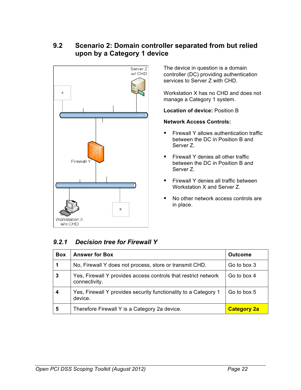### **9.2 Scenario 2: Domain controller separated from but relied upon by a Category 1 device**



The device in question is a domain controller (DC) providing authentication services to Server Z with CHD.

Workstation X has no CHD and does not manage a Category 1 system.

**Location of device:** Position B

#### **Network Access Controls:**

- **Firewall Y allows authentication traffic** between the DC in Position B and Server Z.
- Firewall Y denies all other traffic between the DC in Position B and Server Z.
- Firewall Y denies all traffic between Workstation X and Server Z.
- No other network access controls are in place.

### *9.2.1 Decision tree for Firewall Y*

| <b>Box</b> | <b>Answer for Box</b>                                                           | <b>Outcome</b>     |
|------------|---------------------------------------------------------------------------------|--------------------|
| 1          | No, Firewall Y does not process, store or transmit CHD.                         | Go to box 3        |
| 3          | Yes, Firewall Y provides access controls that restrict network<br>connectivity. | Go to box 4        |
| 4          | Yes, Firewall Y provides security functionality to a Category 1<br>device.      | Go to box 5        |
| 5          | Therefore Firewall Y is a Category 2a device.                                   | <b>Category 2a</b> |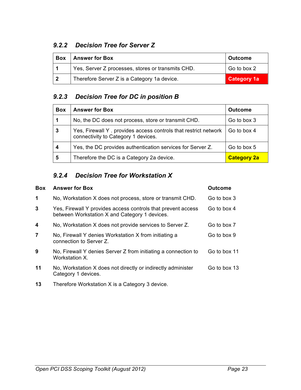### *9.2.2 Decision Tree for Server Z*

| <b>Box</b>     | <b>Answer for Box</b>                             | <b>Outcome</b>     |
|----------------|---------------------------------------------------|--------------------|
|                | Yes, Server Z processes, stores or transmits CHD. | Go to box 2        |
| $\overline{2}$ | Therefore Server Z is a Category 1a device.       | <b>Category 1a</b> |

### *9.2.3 Decision Tree for DC in position B*

| <b>Box</b> | <b>Answer for Box</b>                                                                                  | <b>Outcome</b>     |
|------------|--------------------------------------------------------------------------------------------------------|--------------------|
| 1          | No, the DC does not process, store or transmit CHD.                                                    | Go to box 3        |
| 3          | Yes, Firewall Y. provides access controls that restrict network<br>connectivity to Category 1 devices. | Go to box 4        |
| 4          | Yes, the DC provides authentication services for Server Z.                                             | Go to box 5        |
| 5          | Therefore the DC is a Category 2a device.                                                              | <b>Category 2a</b> |

### *9.2.4 Decision Tree for Workstation X*

| <b>Box</b>     | <b>Answer for Box</b>                                                                                         | <b>Outcome</b> |
|----------------|---------------------------------------------------------------------------------------------------------------|----------------|
| $\mathbf 1$    | No, Workstation X does not process, store or transmit CHD.                                                    | Go to box 3    |
| 3              | Yes, Firewall Y provides access controls that prevent access<br>between Workstation X and Category 1 devices. | Go to box 4    |
| 4              | No, Workstation X does not provide services to Server Z.                                                      | Go to box 7    |
| $\overline{7}$ | No, Firewall Y denies Workstation X from initiating a<br>connection to Server Z.                              | Go to box 9    |
| 9              | No, Firewall Y denies Server Z from initiating a connection to<br>Workstation X.                              | Go to box 11   |
| 11             | No, Workstation X does not directly or indirectly administer<br>Category 1 devices.                           | Go to box 13   |
| 13             | Therefore Workstation X is a Category 3 device.                                                               |                |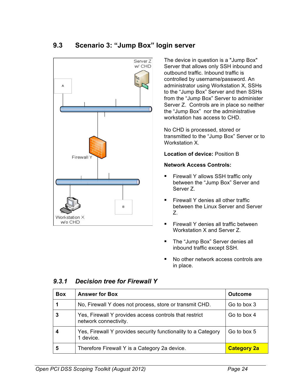### **9.3 Scenario 3: "Jump Box" login server**



The device in question is a "Jump Box" Server that allows only SSH inbound and outbound traffic. Inbound traffic is controlled by username/password. An administrator using Workstation X, SSHs to the "Jump Box" Server and then SSHs from the "Jump Box" Server to administer Server Z. Controls are in place so neither the "Jump Box" nor the administrative workstation has access to CHD.

No CHD is processed, stored or transmitted to the "Jump Box" Server or to Workstation X.

**Location of device:** Position B

#### **Network Access Controls:**

- Firewall Y allows SSH traffic only between the "Jump Box" Server and Server Z.
- Firewall Y denies all other traffic between the Linux Server and Server Z.
- Firewall Y denies all traffic between Workstation X and Server Z.
- The "Jump Box" Server denies all inbound traffic except SSH.
- No other network access controls are in place.

#### *9.3.1 Decision tree for Firewall Y*

| <b>Box</b> | <b>Answer for Box</b>                                                           | <b>Outcome</b>     |
|------------|---------------------------------------------------------------------------------|--------------------|
|            | No, Firewall Y does not process, store or transmit CHD.                         | Go to box 3        |
|            | Yes, Firewall Y provides access controls that restrict<br>network connectivity. | Go to box 4        |
|            | Yes, Firewall Y provides security functionality to a Category<br>1 device.      | Go to box 5        |
| 5          | Therefore Firewall Y is a Category 2a device.                                   | <b>Category 2a</b> |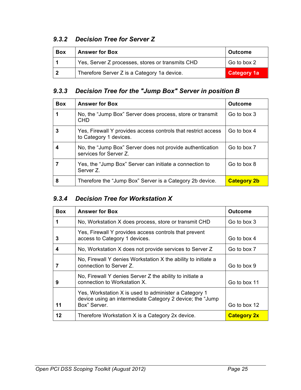### *9.3.2 Decision Tree for Server Z*

| <b>Box</b> | <b>Answer for Box</b>                            | <b>Outcome</b>     |
|------------|--------------------------------------------------|--------------------|
|            | Yes, Server Z processes, stores or transmits CHD | Go to box 2        |
| - 2        | Therefore Server Z is a Category 1a device.      | <b>Category 1a</b> |

### *9.3.3 Decision Tree for the "Jump Box" Server in position B*

| <b>Box</b> | <b>Answer for Box</b>                                                                   | <b>Outcome</b>     |
|------------|-----------------------------------------------------------------------------------------|--------------------|
|            | No, the "Jump Box" Server does process, store or transmit<br><b>CHD</b>                 | Go to box 3        |
| 3          | Yes, Firewall Y provides access controls that restrict access<br>to Category 1 devices. | Go to box 4        |
|            | No, the "Jump Box" Server does not provide authentication<br>services for Server Z.     | Go to box 7        |
|            | Yes, the "Jump Box" Server can initiate a connection to<br>Server Z.                    | Go to box 8        |
| 8          | Therefore the "Jump Box" Server is a Category 2b device.                                | <b>Category 2b</b> |

### *9.3.4 Decision Tree for Workstation X*

| <b>Box</b> | <b>Answer for Box</b>                                                                                                               | <b>Outcome</b>     |
|------------|-------------------------------------------------------------------------------------------------------------------------------------|--------------------|
| 1          | No, Workstation X does process, store or transmit CHD                                                                               | Go to box 3        |
| 3          | Yes, Firewall Y provides access controls that prevent<br>access to Category 1 devices.                                              | Go to box 4        |
| 4          | No, Workstation X does not provide services to Server Z                                                                             | Go to box 7        |
|            | No, Firewall Y denies Workstation X the ability to initiate a<br>connection to Server Z.                                            | Go to box 9        |
| 9          | No, Firewall Y denies Server Z the ability to initiate a<br>connection to Workstation X.                                            | Go to box 11       |
| 11         | Yes, Workstation X is used to administer a Category 1<br>device using an intermediate Category 2 device; the "Jump"<br>Box" Server. | Go to box 12       |
| 12         | Therefore Workstation X is a Category 2x device.                                                                                    | <b>Category 2x</b> |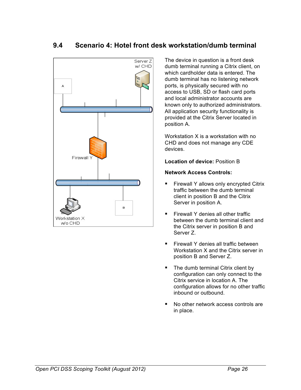### **9.4 Scenario 4: Hotel front desk workstation/dumb terminal**



The device in question is a front desk dumb terminal running a Citrix client, on which cardholder data is entered. The dumb terminal has no listening network ports, is physically secured with no access to USB, SD or flash card ports and local administrator accounts are known only to authorized administrators. All application security functionality is provided at the Citrix Server located in position A.

Workstation X is a workstation with no CHD and does not manage any CDE devices.

**Location of device:** Position B

#### **Network Access Controls:**

- Firewall Y allows only encrypted Citrix traffic between the dumb terminal client in position B and the Citrix Server in position A.
- Firewall Y denies all other traffic between the dumb terminal client and the Citrix server in position B and Server Z.
- Firewall Y denies all traffic between Workstation X and the Citrix server in position B and Server Z.
- The dumb terminal Citrix client by configuration can only connect to the Citrix service in location A. The configuration allows for no other traffic inbound or outbound.
- § No other network access controls are in place.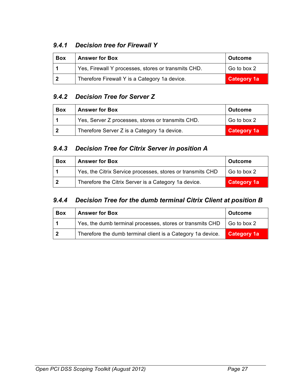### *9.4.1 Decision tree for Firewall Y*

| <b>Box</b> | <b>Answer for Box</b>                               | <b>Outcome</b>     |
|------------|-----------------------------------------------------|--------------------|
|            | Yes, Firewall Y processes, stores or transmits CHD. | Go to box 2        |
|            | Therefore Firewall Y is a Category 1a device.       | <b>Category 1a</b> |

### *9.4.2 Decision Tree for Server Z*

| Box | <b>Answer for Box</b>                             | <b>Outcome</b>     |
|-----|---------------------------------------------------|--------------------|
|     | Yes, Server Z processes, stores or transmits CHD. | Go to box 2        |
| ຳ   | Therefore Server Z is a Category 1a device.       | <b>Category 1a</b> |

### *9.4.3 Decision Tree for Citrix Server in position A*

| <b>Box</b> | <b>Answer for Box</b>                                      | <b>Outcome</b>     |
|------------|------------------------------------------------------------|--------------------|
|            | Yes, the Citrix Service processes, stores or transmits CHD | Go to box 2        |
| - 2        | Therefore the Citrix Server is a Category 1a device.       | <b>Category 1a</b> |

### *9.4.4 Decision Tree for the dumb terminal Citrix Client at position B*

| <b>Box</b> | <b>Answer for Box</b>                                                             | <b>Outcome</b> |
|------------|-----------------------------------------------------------------------------------|----------------|
|            | Yes, the dumb terminal processes, stores or transmits CHD $\parallel$ Go to box 2 |                |
| - 2        | Therefore the dumb terminal client is a Category 1a device.                       | Category 1a    |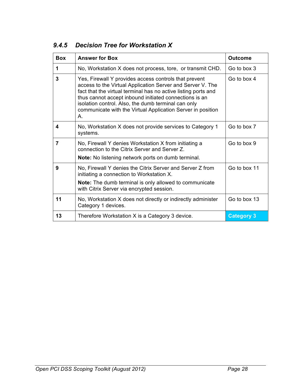| <b>Box</b>     | <b>Answer for Box</b>                                                                                                                                                                                                                                                                                                                                                       | <b>Outcome</b>    |
|----------------|-----------------------------------------------------------------------------------------------------------------------------------------------------------------------------------------------------------------------------------------------------------------------------------------------------------------------------------------------------------------------------|-------------------|
| 1              | No, Workstation X does not process, tore, or transmit CHD.                                                                                                                                                                                                                                                                                                                  | Go to box 3       |
| 3              | Yes, Firewall Y provides access controls that prevent<br>access to the Virtual Application Server and Server V. The<br>fact that the virtual terminal has no active listing ports and<br>thus cannot accept inbound initiated connections is an<br>isolation control. Also, the dumb terminal can only<br>communicate with the Virtual Application Server in position<br>Α. | Go to box 4       |
| 4              | No, Workstation X does not provide services to Category 1<br>systems.                                                                                                                                                                                                                                                                                                       | Go to box 7       |
| $\overline{7}$ | No, Firewall Y denies Workstation X from initiating a<br>connection to the Citrix Server and Server Z.<br>Note: No listening network ports on dumb terminal.                                                                                                                                                                                                                | Go to box 9       |
| 9              | No, Firewall Y denies the Citrix Server and Server Z from<br>initiating a connection to Workstation X.<br><b>Note:</b> The dumb terminal is only allowed to communicate<br>with Citrix Server via encrypted session.                                                                                                                                                        | Go to box 11      |
| 11             | No, Workstation X does not directly or indirectly administer<br>Category 1 devices.                                                                                                                                                                                                                                                                                         | Go to box 13      |
| 13             | Therefore Workstation X is a Category 3 device.                                                                                                                                                                                                                                                                                                                             | <b>Category 3</b> |

## *9.4.5 Decision Tree for Workstation X*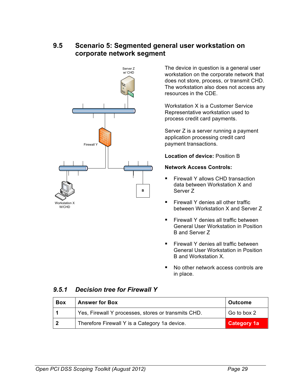### **9.5 Scenario 5: Segmented general user workstation on corporate network segment**



The device in question is a general user workstation on the corporate network that does not store, process, or transmit CHD. The workstation also does not access any resources in the CDE.

Workstation X is a Customer Service Representative workstation used to process credit card payments.

Server Z is a server running a payment application processing credit card payment transactions.

**Location of device:** Position B

#### **Network Access Controls:**

- § Firewall Y allows CHD transaction data between Workstation X and Server Z
- § Firewall Y denies all other traffic between Workstation X and Server Z
- Firewall Y denies all traffic between General User Workstation in Position B and Server Z
- § Firewall Y denies all traffic between General User Workstation in Position B and Workstation X.
- No other network access controls are in place.

#### *9.5.1 Decision tree for Firewall Y*

| <b>Box</b> | <b>Answer for Box</b>                               | <b>Outcome</b>     |
|------------|-----------------------------------------------------|--------------------|
|            | Yes, Firewall Y processes, stores or transmits CHD. | Go to box 2        |
| - 2        | Therefore Firewall Y is a Category 1a device.       | <b>Category 1a</b> |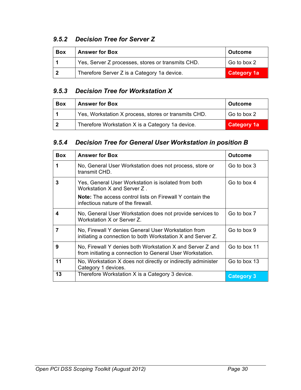### *9.5.2 Decision Tree for Server Z*

| <b>Box</b> | <b>Answer for Box</b>                             | <b>Outcome</b>     |
|------------|---------------------------------------------------|--------------------|
|            | Yes, Server Z processes, stores or transmits CHD. | Go to box 2        |
| - 2        | Therefore Server Z is a Category 1a device.       | <b>Category 1a</b> |

### *9.5.3 Decision Tree for Workstation X*

| <b>Box</b> | <b>Answer for Box</b>                                | <b>Outcome</b>     |
|------------|------------------------------------------------------|--------------------|
|            | Yes, Workstation X process, stores or transmits CHD. | Go to box 2        |
| - 2        | Therefore Workstation X is a Category 1a device.     | <b>Category 1a</b> |

### *9.5.4 Decision Tree for General User Workstation in position B*

| <b>Box</b> | <b>Answer for Box</b>                                                                                                  | <b>Outcome</b>    |
|------------|------------------------------------------------------------------------------------------------------------------------|-------------------|
| 1          | No, General User Workstation does not process, store or<br>transmit CHD.                                               | Go to box 3       |
| 3          | Yes, General User Workstation is isolated from both<br>Workstation X and Server Z.                                     | Go to box 4       |
|            | <b>Note:</b> The access control lists on Firewall Y contain the<br>infectious nature of the firewall.                  |                   |
| 4          | No, General User Workstation does not provide services to<br>Workstation X or Server Z.                                | Go to box 7       |
| 7          | No, Firewall Y denies General User Workstation from<br>initiating a connection to both Workstation X and Server Z.     | Go to box 9       |
| 9          | No, Firewall Y denies both Workstation X and Server Z and<br>from initiating a connection to General User Workstation. | Go to box 11      |
| 11         | No, Workstation X does not directly or indirectly administer<br>Category 1 devices.                                    | Go to box 13      |
| 13         | Therefore Workstation X is a Category 3 device.                                                                        | <b>Category 3</b> |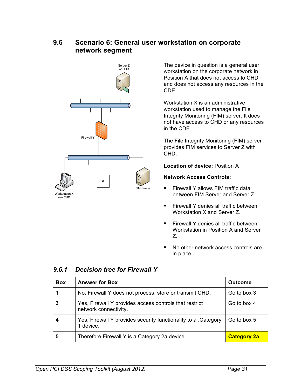### **9.6 Scenario 6: General user workstation on corporate network segment**



The device in question is a general user workstation on the corporate network in Position A that does not access to CHD and does not access any resources in the CDE.

Workstation X is an administrative workstation used to manage the File Integrity Monitoring (FIM) server. It does not have access to CHD or any resources in the CDE.

The File Integrity Monitoring (FIM) server provides FIM services to Server Z with CHD.

**Location of device:** Position A

#### **Network Access Controls:**

- Firewall Y allows FIM traffic data between FIM Server and Server Z.
- Firewall Y denies all traffic between Workstation X and Server Z.
- Firewall Y denies all traffic between Workstation in Position A and Server Z.
- No other network access controls are in place.

| <b>Box</b> | <b>Answer for Box</b>                                                           | <b>Outcome</b>     |
|------------|---------------------------------------------------------------------------------|--------------------|
|            | No, Firewall Y does not process, store or transmit CHD.                         | Go to box 3        |
| 3          | Yes, Firewall Y provides access controls that restrict<br>network connectivity. | Go to box 4        |
| 4          | Yes, Firewall Y provides security functionality to a . Category<br>1 device.    | Go to box 5        |
| 5          | Therefore Firewall Y is a Category 2a device.                                   | <b>Category 2a</b> |

### *9.6.1 Decision tree for Firewall Y*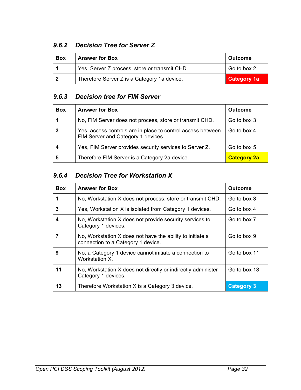### *9.6.2 Decision Tree for Server Z*

| <b>Box</b> | <b>Answer for Box</b>                         | <b>Outcome</b>     |
|------------|-----------------------------------------------|--------------------|
|            | Yes, Server Z process, store or transmit CHD. | Go to box 2        |
|            | Therefore Server Z is a Category 1a device.   | <b>Category 1a</b> |

### *9.6.3 Decision tree for FIM Server*

| <b>Box</b> | <b>Answer for Box</b>                                                                             | <b>Outcome</b>     |
|------------|---------------------------------------------------------------------------------------------------|--------------------|
|            | No, FIM Server does not process, store or transmit CHD.                                           | Go to box 3        |
|            | Yes, access controls are in place to control access between<br>FIM Server and Category 1 devices. | Go to box 4        |
| 4          | Yes, FIM Server provides security services to Server Z.                                           | Go to box 5        |
| 5          | Therefore FIM Server is a Category 2a device.                                                     | <b>Category 2a</b> |

### *9.6.4 Decision Tree for Workstation X*

| <b>Box</b> | <b>Answer for Box</b>                                                                           | <b>Outcome</b>    |
|------------|-------------------------------------------------------------------------------------------------|-------------------|
| 1          | No, Workstation X does not process, store or transmit CHD.                                      | Go to box 3       |
| 3          | Yes, Workstation X is isolated from Category 1 devices.                                         | Go to box 4       |
| 4          | No, Workstation X does not provide security services to<br>Category 1 devices.                  | Go to box 7       |
|            | No, Workstation X does not have the ability to initiate a<br>connection to a Category 1 device. | Go to box 9       |
| 9          | No, a Category 1 device cannot initiate a connection to<br>Workstation X.                       | Go to box 11      |
| 11         | No, Workstation X does not directly or indirectly administer<br>Category 1 devices.             | Go to box 13      |
| 13         | Therefore Workstation X is a Category 3 device.                                                 | <b>Category 3</b> |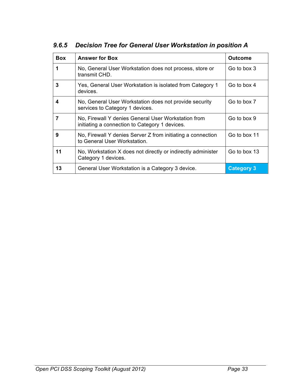| <b>Box</b> | <b>Answer for Box</b>                                                                                 | <b>Outcome</b>    |
|------------|-------------------------------------------------------------------------------------------------------|-------------------|
| 1          | No, General User Workstation does not process, store or<br>transmit CHD.                              | Go to box 3       |
| 3          | Yes, General User Workstation is isolated from Category 1<br>devices.                                 | Go to box 4       |
| 4          | No, General User Workstation does not provide security<br>services to Category 1 devices.             | Go to box 7       |
| 7          | No, Firewall Y denies General User Workstation from<br>initiating a connection to Category 1 devices. | Go to box 9       |
| 9          | No, Firewall Y denies Server Z from initiating a connection<br>to General User Workstation.           | Go to box 11      |
| 11         | No, Workstation X does not directly or indirectly administer<br>Category 1 devices.                   | Go to box 13      |
| 13         | General User Workstation is a Category 3 device.                                                      | <b>Category 3</b> |

*9.6.5 Decision Tree for General User Workstation in position A*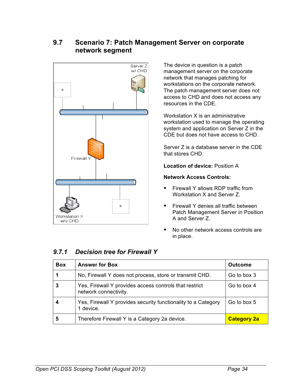### **9.7 Scenario 7: Patch Management Server on corporate network segment**



The device in question is a patch management server on the corporate network that manages patching for workstations on the corporate network. The patch management server does not access to CHD and does not access any resources in the CDE.

Workstation X is an administrative workstation used to manage the operating system and application on Server Z in the CDE but does not have access to CHD.

Server Z is a database server in the CDE that stores CHD.

**Location of device:** Position A

#### **Network Access Controls:**

- Firewall Y allows RDP traffic from Workstation X and Server Z.
- Firewall Y denies all traffic between Patch Management Server in Position A and Server Z.
- No other network access controls are in place.

### *9.7.1 Decision tree for Firewall Y*

| <b>Box</b> | <b>Answer for Box</b>                                                           | <b>Outcome</b>     |
|------------|---------------------------------------------------------------------------------|--------------------|
|            | No, Firewall Y does not process, store or transmit CHD.                         | Go to box 3        |
| 3          | Yes, Firewall Y provides access controls that restrict<br>network connectivity. | Go to box 4        |
|            | Yes, Firewall Y provides security functionality to a Category<br>1 device.      | Go to box 5        |
| 5          | Therefore Firewall Y is a Category 2a device.                                   | <b>Category 2a</b> |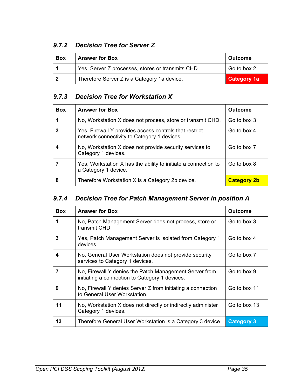### *9.7.2 Decision Tree for Server Z*

| <b>Box</b> | <b>Answer for Box</b>                             | <b>Outcome</b>     |
|------------|---------------------------------------------------|--------------------|
|            | Yes, Server Z processes, stores or transmits CHD. | Go to box 2        |
|            | Therefore Server Z is a Category 1a device.       | <b>Category 1a</b> |

### *9.7.3 Decision Tree for Workstation X*

| <b>Box</b> | <b>Answer for Box</b>                                                                                 | <b>Outcome</b>     |
|------------|-------------------------------------------------------------------------------------------------------|--------------------|
|            | No, Workstation X does not process, store or transmit CHD.                                            | Go to box 3        |
| 3          | Yes, Firewall Y provides access controls that restrict<br>network connectivity to Category 1 devices. | Go to box 4        |
|            | No, Workstation X does not provide security services to<br>Category 1 devices.                        | Go to box 7        |
|            | Yes, Workstation X has the ability to initiate a connection to<br>a Category 1 device.                | Go to box 8        |
| 8          | Therefore Workstation X is a Category 2b device.                                                      | <b>Category 2b</b> |

### *9.7.4 Decision Tree for Patch Management Server in position A*

| <b>Box</b> | <b>Answer for Box</b>                                                                                    | <b>Outcome</b>    |
|------------|----------------------------------------------------------------------------------------------------------|-------------------|
| 1          | No, Patch Management Server does not process, store or<br>transmit CHD.                                  | Go to box 3       |
| 3          | Yes, Patch Management Server is isolated from Category 1<br>devices.                                     | Go to box 4       |
| 4          | No, General User Workstation does not provide security<br>services to Category 1 devices.                | Go to box 7       |
| 7          | No, Firewall Y denies the Patch Management Server from<br>initiating a connection to Category 1 devices. | Go to box 9       |
| 9          | No, Firewall Y denies Server Z from initiating a connection<br>to General User Workstation.              | Go to box 11      |
| 11         | No, Workstation X does not directly or indirectly administer<br>Category 1 devices.                      | Go to box 13      |
| 13         | Therefore General User Workstation is a Category 3 device.                                               | <b>Category 3</b> |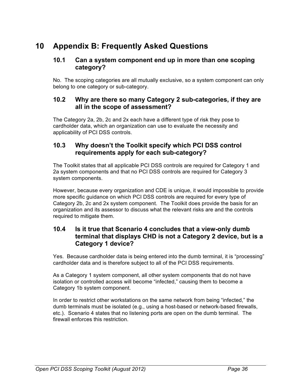# **10 Appendix B: Frequently Asked Questions**

#### **10.1 Can a system component end up in more than one scoping category?**

No. The scoping categories are all mutually exclusive, so a system component can only belong to one category or sub-category.

#### **10.2 Why are there so many Category 2 sub-categories, if they are all in the scope of assessment?**

The Category 2a, 2b, 2c and 2x each have a different type of risk they pose to cardholder data, which an organization can use to evaluate the necessity and applicability of PCI DSS controls.

#### **10.3 Why doesn't the Toolkit specify which PCI DSS control requirements apply for each sub-category?**

The Toolkit states that all applicable PCI DSS controls are required for Category 1 and 2a system components and that no PCI DSS controls are required for Category 3 system components.

However, because every organization and CDE is unique, it would impossible to provide more specific guidance on which PCI DSS controls are required for every type of Category 2b, 2c and 2x system component. The Toolkit does provide the basis for an organization and its assessor to discuss what the relevant risks are and the controls required to mitigate them.

#### **10.4 Is it true that Scenario 4 concludes that a view-only dumb terminal that displays CHD is not a Category 2 device, but is a Category 1 device?**

Yes. Because cardholder data is being entered into the dumb terminal, it is "processing" cardholder data and is therefore subject to all of the PCI DSS requirements.

As a Category 1 system component, all other system components that do not have isolation or controlled access will become "infected," causing them to become a Category 1b system component.

In order to restrict other workstations on the same network from being "infected," the dumb terminals must be isolated (e.g., using a host-based or network-based firewalls, etc.). Scenario 4 states that no listening ports are open on the dumb terminal. The firewall enforces this restriction.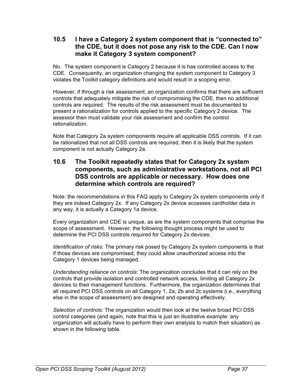#### **10.5 I have a Category 2 system component that is "connected to" the CDE, but it does not pose any risk to the CDE. Can I now make it Category 3 system component?**

No. The system component is Category 2 because it is has controlled access to the CDE. Consequently, an organization changing the system component to Category 3 violates the Toolkit category definitions and would result in a scoping error.

However, if through a risk assessment, an organization confirms that there are sufficient controls that adequately mitigate the risk of compromising the CDE, then no additional controls are required. The results of the risk assessment must be documented to present a rationalization for controls applied to the specific Category 2 device. The assessor then must validate your risk assessment and confirm the control rationalization.

Note that Category 2a system components require all applicable DSS controls. If it can be rationalized that not all DSS controls are required, then it is likely that the system component is not actually Category 2a.

#### **10.6 The Toolkit repeatedly states that for Category 2x system components, such as administrative workstations, not all PCI DSS controls are applicable or necessary. How does one determine which controls are required?**

Note: the recommendations in this FAQ apply to Category 2x system components only if they are indeed Category 2x. If any Category 2x device accesses cardholder data in any way, it is actually a Category 1a device.

Every organization and CDE is unique, as are the system components that comprise the scope of assessment. However, the following thought process might be used to determine the PCI DSS controls required for Category 2x devices:

*Identification of risks*: The primary risk posed by Category 2x system components is that if those devices are compromised, they could allow unauthorized access into the Category 1 devices being managed.

*Understanding reliance on controls*: The organization concludes that it can rely on the controls that provide isolation and controlled network access, limiting all Category 2x devices to their management functions. Furthermore, the organization determines that all required PCI DSS controls on all Category 1, 2a, 2b and 2c systems (i.e., everything else in the scope of assessment) are designed and operating effectively.

*Selection of controls:* The organization would then look at the twelve broad PCI DSS control categories (and again, note that this is just an illustrative example: any organization will actually have to perform their own analysis to match their situation) as shown in the following table.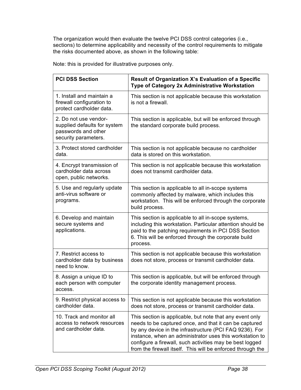The organization would then evaluate the twelve PCI DSS control categories (i.e., sections) to determine applicability and necessity of the control requirements to mitigate the risks documented above, as shown in the following table:

Note: this is provided for illustrative purposes only.

| <b>PCI DSS Section</b>                                                                               | <b>Result of Organization X's Evaluation of a Specific</b><br>Type of Category 2x Administrative Workstation                                                                                                                                                                                                                                                         |
|------------------------------------------------------------------------------------------------------|----------------------------------------------------------------------------------------------------------------------------------------------------------------------------------------------------------------------------------------------------------------------------------------------------------------------------------------------------------------------|
| 1. Install and maintain a<br>firewall configuration to<br>protect cardholder data.                   | This section is not applicable because this workstation<br>is not a firewall.                                                                                                                                                                                                                                                                                        |
| 2. Do not use vendor-<br>supplied defaults for system<br>passwords and other<br>security parameters. | This section is applicable, but will be enforced through<br>the standard corporate build process.                                                                                                                                                                                                                                                                    |
| 3. Protect stored cardholder<br>data.                                                                | This section is not applicable because no cardholder<br>data is stored on this workstation.                                                                                                                                                                                                                                                                          |
| 4. Encrypt transmission of<br>cardholder data across<br>open, public networks.                       | This section is not applicable because this workstation<br>does not transmit cardholder data.                                                                                                                                                                                                                                                                        |
| 5. Use and regularly update<br>anti-virus software or<br>programs.                                   | This section is applicable to all in-scope systems<br>commonly affected by malware, which includes this<br>workstation. This will be enforced through the corporate<br>build process.                                                                                                                                                                                |
| 6. Develop and maintain<br>secure systems and<br>applications.                                       | This section is applicable to all in-scope systems,<br>including this workstation. Particular attention should be<br>paid to the patching requirements in PCI DSS Section<br>6. This will be enforced through the corporate build<br>process.                                                                                                                        |
| 7. Restrict access to<br>cardholder data by business<br>need to know.                                | This section is not applicable because this workstation<br>does not store, process or transmit cardholder data.                                                                                                                                                                                                                                                      |
| 8. Assign a unique ID to<br>each person with computer<br>access.                                     | This section is applicable, but will be enforced through<br>the corporate identity management process.                                                                                                                                                                                                                                                               |
| 9. Restrict physical access to<br>cardholder data.                                                   | This section is not applicable because this workstation<br>does not store, process or transmit cardholder data.                                                                                                                                                                                                                                                      |
| 10. Track and monitor all<br>access to network resources<br>and cardholder data.                     | This section is applicable, but note that any event only<br>needs to be captured once, and that it can be captured<br>by any device in the infrastructure (PCI FAQ 9236). For<br>instance, when an administrator uses this workstation to<br>configure a firewall, such activities may be best logged<br>from the firewall itself. This will be enforced through the |